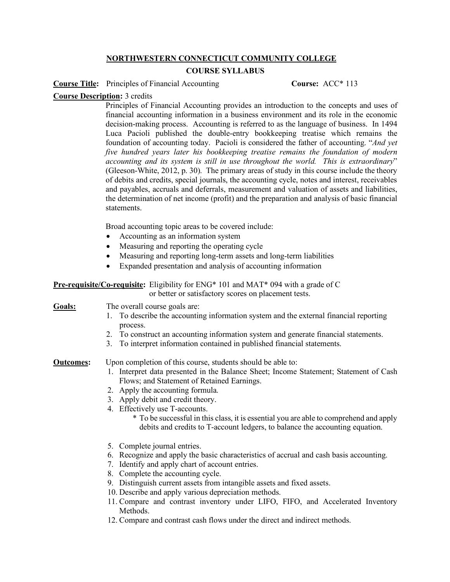## **NORTHWESTERN CONNECTICUT COMMUNITY COLLEGE**

## **COURSE SYLLABUS**

**Course Title:** Principles of Financial Accounting **Course:** ACC\* 113

## **Course Description:** 3 credits

Principles of Financial Accounting provides an introduction to the concepts and uses of financial accounting information in a business environment and its role in the economic decision-making process. Accounting is referred to as the language of business. In 1494 Luca Pacioli published the double-entry bookkeeping treatise which remains the foundation of accounting today. Pacioli is considered the father of accounting. "*And yet five hundred years later his bookkeeping treatise remains the foundation of modern accounting and its system is still in use throughout the world. This is extraordinary*" (Gleeson-White, 2012, p. 30). The primary areas of study in this course include the theory of debits and credits, special journals, the accounting cycle, notes and interest, receivables and payables, accruals and deferrals, measurement and valuation of assets and liabilities, the determination of net income (profit) and the preparation and analysis of basic financial statements.

Broad accounting topic areas to be covered include:

- Accounting as an information system
- Measuring and reporting the operating cycle
- Measuring and reporting long-term assets and long-term liabilities
- Expanded presentation and analysis of accounting information

**Pre-requisite/Co-requisite:** Eligibility for ENG\* 101 and MAT\* 094 with a grade of C or better or satisfactory scores on placement tests.

Goals: The overall course goals are:

- 1. To describe the accounting information system and the external financial reporting process.
- 2. To construct an accounting information system and generate financial statements.
- 3. To interpret information contained in published financial statements.

## **Outcomes:** Upon completion of this course, students should be able to:

- 1. Interpret data presented in the Balance Sheet; Income Statement; Statement of Cash Flows; and Statement of Retained Earnings.
- 2. Apply the accounting formula.
- 3. Apply debit and credit theory.
- 4. Effectively use T-accounts.
	- \* To be successful in this class, it is essential you are able to comprehend and apply debits and credits to T-account ledgers, to balance the accounting equation.
- 5. Complete journal entries.
- 6. Recognize and apply the basic characteristics of accrual and cash basis accounting.
- 7. Identify and apply chart of account entries.
- 8. Complete the accounting cycle.
- 9. Distinguish current assets from intangible assets and fixed assets.
- 10. Describe and apply various depreciation methods.
- 11. Compare and contrast inventory under LIFO, FIFO, and Accelerated Inventory Methods.
- 12. Compare and contrast cash flows under the direct and indirect methods.